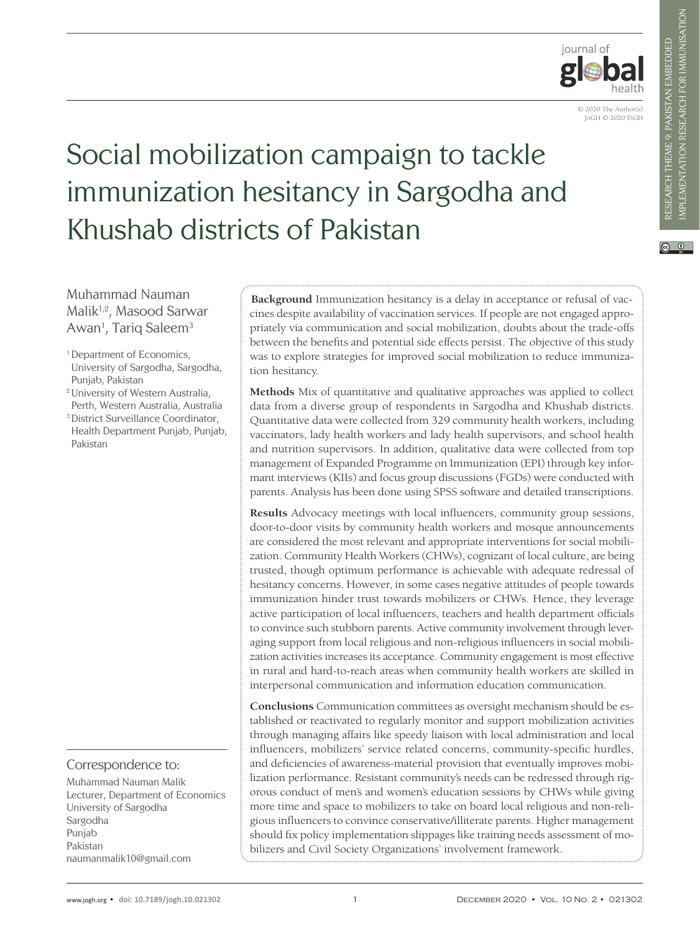

© 2020 The Author(s) JoGH © 2020 ISGH

# Social mobilization campaign to tackle immunization hesitancy in Sargodha and Khushab districts of Pakistan

 $\circ$   $\circ$ 

Muhammad Nauman Malik<sup>1,2</sup>, Masood Sarwar Awan<sup>1</sup>, Tariq Saleem<sup>3</sup>

- <sup>1</sup> Department of Economics, University of Sargodha, Sargodha, Punjab, Pakistan
- 2 University of Western Australia, Perth, Western Australia, Australia
- 3 District Surveillance Coordinator, Health Department Punjab, Punjab, Pakistan

Correspondence to:

Muhammad Nauman Malik Lecturer, Department of Economics University of Sargodha Sargodha Punjab Pakistan naumanmalik10@gmail.com

**Background** Immunization hesitancy is a delay in acceptance or refusal of vaccines despite availability of vaccination services. If people are not engaged appropriately via communication and social mobilization, doubts about the trade-offs between the benefits and potential side effects persist. The objective of this study was to explore strategies for improved social mobilization to reduce immunization hesitancy.

**Methods** Mix of quantitative and qualitative approaches was applied to collect data from a diverse group of respondents in Sargodha and Khushab districts. Quantitative data were collected from 329 community health workers, including vaccinators, lady health workers and lady health supervisors, and school health and nutrition supervisors. In addition, qualitative data were collected from top management of Expanded Programme on Immunization (EPI) through key informant interviews (KIIs) and focus group discussions (FGDs) were conducted with parents. Analysis has been done using SPSS software and detailed transcriptions.

**Results** Advocacy meetings with local influencers, community group sessions, door-to-door visits by community health workers and mosque announcements are considered the most relevant and appropriate interventions for social mobilization. Community Health Workers (CHWs), cognizant of local culture, are being trusted, though optimum performance is achievable with adequate redressal of hesitancy concerns. However, in some cases negative attitudes of people towards immunization hinder trust towards mobilizers or CHWs. Hence, they leverage active participation of local influencers, teachers and health department officials to convince such stubborn parents. Active community involvement through leveraging support from local religious and non-religious influencers in social mobilization activities increases its acceptance. Community engagement is most effective in rural and hard-to-reach areas when community health workers are skilled in interpersonal communication and information education communication.

**Conclusions** Communication committees as oversight mechanism should be established or reactivated to regularly monitor and support mobilization activities through managing affairs like speedy liaison with local administration and local influencers, mobilizers' service related concerns, community-specific hurdles, and deficiencies of awareness-material provision that eventually improves mobilization performance. Resistant community's needs can be redressed through rigorous conduct of men's and women's education sessions by CHWs while giving more time and space to mobilizers to take on board local religious and non-religious influencers to convince conservative/illiterate parents. Higher management should fix policy implementation slippages like training needs assessment of mobilizers and Civil Society Organizations' involvement framework.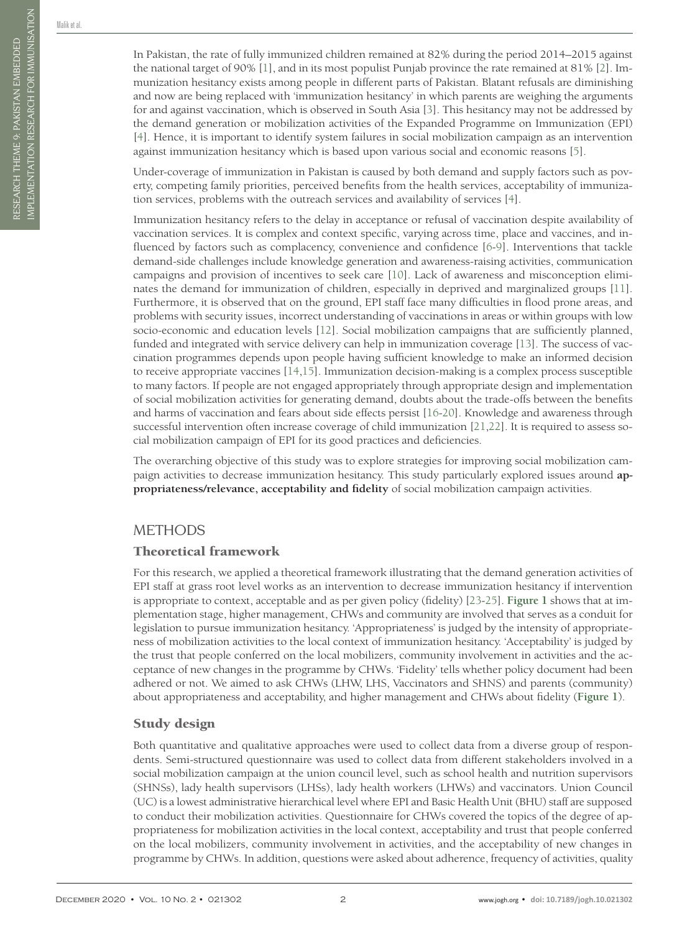In Pakistan, the rate of fully immunized children remained at 82% during the period 2014–2015 against the national target of 90% [\[1\]](#page-10-0), and in its most populist Punjab province the rate remained at 81% [\[2](#page-10-1)]. Immunization hesitancy exists among people in different parts of Pakistan. Blatant refusals are diminishing and now are being replaced with 'immunization hesitancy' in which parents are weighing the arguments for and against vaccination, which is observed in South Asia [\[3](#page-10-2)]. This hesitancy may not be addressed by the demand generation or mobilization activities of the Expanded Programme on Immunization (EPI) [[4\]](#page-10-3). Hence, it is important to identify system failures in social mobilization campaign as an intervention against immunization hesitancy which is based upon various social and economic reasons [\[5](#page-10-4)].

Under-coverage of immunization in Pakistan is caused by both demand and supply factors such as poverty, competing family priorities, perceived benefits from the health services, acceptability of immunization services, problems with the outreach services and availability of services [[4\]](#page-10-3).

Immunization hesitancy refers to the delay in acceptance or refusal of vaccination despite availability of vaccination services. It is complex and context specific, varying across time, place and vaccines, and influenced by factors such as complacency, convenience and confidence [[6](#page-10-5)[-9](#page-10-6)]. Interventions that tackle demand-side challenges include knowledge generation and awareness-raising activities, communication campaigns and provision of incentives to seek care [\[10](#page-10-7)]. Lack of awareness and misconception eliminates the demand for immunization of children, especially in deprived and marginalized groups [\[11](#page-10-8)]. Furthermore, it is observed that on the ground, EPI staff face many difficulties in flood prone areas, and problems with security issues, incorrect understanding of vaccinations in areas or within groups with low socio-economic and education levels [\[12](#page-10-9)]. Social mobilization campaigns that are sufficiently planned, funded and integrated with service delivery can help in immunization coverage [\[13](#page-10-10)]. The success of vaccination programmes depends upon people having sufficient knowledge to make an informed decision to receive appropriate vaccines [\[14,](#page-10-11)[15](#page-10-12)]. Immunization decision-making is a complex process susceptible to many factors. If people are not engaged appropriately through appropriate design and implementation of social mobilization activities for generating demand, doubts about the trade-offs between the benefits and harms of vaccination and fears about side effects persist [\[16](#page-10-13)-[20\]](#page-10-14). Knowledge and awareness through successful intervention often increase coverage of child immunization [\[21,](#page-10-15)[22](#page-10-16)]. It is required to assess social mobilization campaign of EPI for its good practices and deficiencies.

The overarching objective of this study was to explore strategies for improving social mobilization campaign activities to decrease immunization hesitancy. This study particularly explored issues around **appropriateness/relevance, acceptability and fidelity** of social mobilization campaign activities.

# **METHODS**

# Theoretical framework

For this research, we applied a theoretical framework illustrating that the demand generation activities of EPI staff at grass root level works as an intervention to decrease immunization hesitancy if intervention is appropriate to context, acceptable and as per given policy (fidelity) [[23-](#page-10-17)[25](#page-10-18)]. **[Figure 1](#page-2-0)** shows that at implementation stage, higher management, CHWs and community are involved that serves as a conduit for legislation to pursue immunization hesitancy. 'Appropriateness' is judged by the intensity of appropriateness of mobilization activities to the local context of immunization hesitancy. 'Acceptability' is judged by the trust that people conferred on the local mobilizers, community involvement in activities and the acceptance of new changes in the programme by CHWs. 'Fidelity' tells whether policy document had been adhered or not. We aimed to ask CHWs (LHW, LHS, Vaccinators and SHNS) and parents (community) about appropriateness and acceptability, and higher management and CHWs about fidelity (**[Figure 1](#page-2-0)**).

# Study design

Both quantitative and qualitative approaches were used to collect data from a diverse group of respondents. Semi-structured questionnaire was used to collect data from different stakeholders involved in a social mobilization campaign at the union council level, such as school health and nutrition supervisors (SHNSs), lady health supervisors (LHSs), lady health workers (LHWs) and vaccinators. Union Council (UC) is a lowest administrative hierarchical level where EPI and Basic Health Unit (BHU) staff are supposed to conduct their mobilization activities. Questionnaire for CHWs covered the topics of the degree of appropriateness for mobilization activities in the local context, acceptability and trust that people conferred on the local mobilizers, community involvement in activities, and the acceptability of new changes in programme by CHWs. In addition, questions were asked about adherence, frequency of activities, quality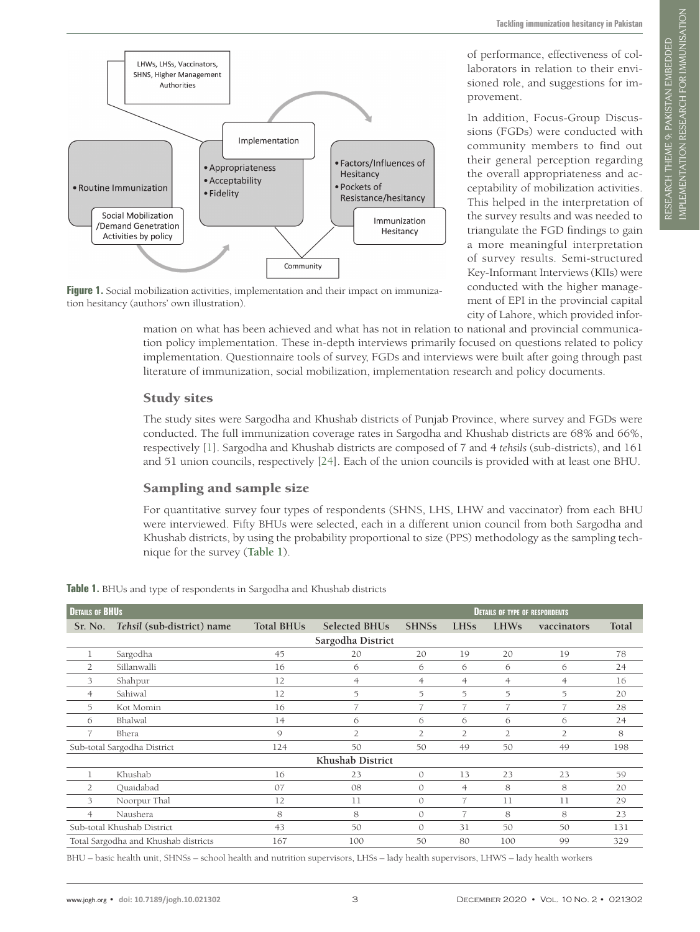

of performance, effectiveness of collaborators in relation to their envisioned role, and suggestions for im-

In addition, Focus-Group Discussions (FGDs) were conducted with community members to find out their general perception regarding the overall appropriateness and acceptability of mobilization activities. This helped in the interpretation of the survey results and was needed to triangulate the FGD findings to gain a more meaningful interpretation of survey results. Semi-structured Key-Informant Interviews (KIIs) were conducted with the higher management of EPI in the provincial capital

provement.

<span id="page-2-0"></span>

**Figure 1.** Social mobilization activities, implementation and their impact on immunization hesitancy (authors' own illustration).

city of Lahore, which provided information on what has been achieved and what has not in relation to national and provincial communication policy implementation. These in-depth interviews primarily focused on questions related to policy implementation. Questionnaire tools of survey, FGDs and interviews were built after going through past literature of immunization, social mobilization, implementation research and policy documents.

#### Study sites

The study sites were Sargodha and Khushab districts of Punjab Province, where survey and FGDs were conducted. The full immunization coverage rates in Sargodha and Khushab districts are 68% and 66%, respectively [[1\]](#page-10-0). Sargodha and Khushab districts are composed of 7 and 4 *tehsils* (sub-districts), and 161 and 51 union councils, respectively [\[24\]](#page-10-19). Each of the union councils is provided with at least one BHU.

# Sampling and sample size

For quantitative survey four types of respondents (SHNS, LHS, LHW and vaccinator) from each BHU were interviewed. Fifty BHUs were selected, each in a different union council from both Sargodha and Khushab districts, by using the probability proportional to size (PPS) methodology as the sampling technique for the survey (**[Table 1](#page-2-1)**).

| <b>DETAILS OF BHUS</b>               |                            |                   |                      | <b>DETAILS OF TYPE OF RESPONDENTS</b> |                |                |                |       |  |  |  |  |
|--------------------------------------|----------------------------|-------------------|----------------------|---------------------------------------|----------------|----------------|----------------|-------|--|--|--|--|
| Sr. No.                              | Tehsil (sub-district) name | <b>Total BHUs</b> | <b>Selected BHUs</b> | <b>SHNSs</b>                          | <b>LHSs</b>    | <b>LHWs</b>    | vaccinators    | Total |  |  |  |  |
| Sargodha District                    |                            |                   |                      |                                       |                |                |                |       |  |  |  |  |
| 1                                    | Sargodha                   | 45                | 20                   | 20                                    | 19             | 20             | 19             | 78    |  |  |  |  |
| 2                                    | Sillanwalli                | 16                | 6                    | 6                                     | 6              | 6              | 6              | 24    |  |  |  |  |
| 3                                    | Shahpur                    | 12                | $\overline{4}$       | $\overline{4}$                        | $\overline{4}$ | $\overline{4}$ | $\overline{4}$ | 16    |  |  |  |  |
| 4                                    | Sahiwal                    | 12                | 5                    | 5                                     | 5              | 5              | $\overline{5}$ | 20    |  |  |  |  |
| 5                                    | Kot Momin                  | 16                | $\overline{7}$       | 7                                     | 7              | $\overline{7}$ | 7              | 28    |  |  |  |  |
| 6                                    | Bhalwal                    | 14                | 6                    | 6                                     | 6              | 6              | 6              | 24    |  |  |  |  |
| 7                                    | Bhera                      | $\mathsf{Q}$      | $\overline{2}$       | $\overline{2}$                        | $\overline{2}$ | $\overline{2}$ | $\overline{2}$ | 8     |  |  |  |  |
| Sub-total Sargodha District          |                            | 124               | 50                   | 50                                    | 49             | 50             | 49             | 198   |  |  |  |  |
| Khushab District                     |                            |                   |                      |                                       |                |                |                |       |  |  |  |  |
|                                      | Khushab                    | 16                | 23                   | $\mathcal{O}$                         | 13             | 23             | 23             | 59    |  |  |  |  |
| 2                                    | Quaidabad                  | 07                | 08                   | $\mathcal{O}$                         | $\overline{4}$ | 8              | 8              | 20    |  |  |  |  |
| 3                                    | Noorpur Thal               | 12                | 11                   | $\circ$                               | 7              | 11             | 11             | 29    |  |  |  |  |
| $\overline{4}$                       | Naushera                   | 8                 | 8                    | $\mathcal{O}$                         | 7              | 8              | 8              | 23    |  |  |  |  |
| Sub-total Khushab District           |                            | 43                | 50                   | $\mathcal{O}$                         | 31             | 50             | 50             | 131   |  |  |  |  |
| Total Sargodha and Khushab districts |                            | 167               | 100                  | 50                                    | 80             | 100            | 99             | 329   |  |  |  |  |

<span id="page-2-1"></span>**Table 1.** BHUs and type of respondents in Sargodha and Khushab districts

BHU – basic health unit, SHNSs – school health and nutrition supervisors, LHSs – lady health supervisors, LHWS – lady health workers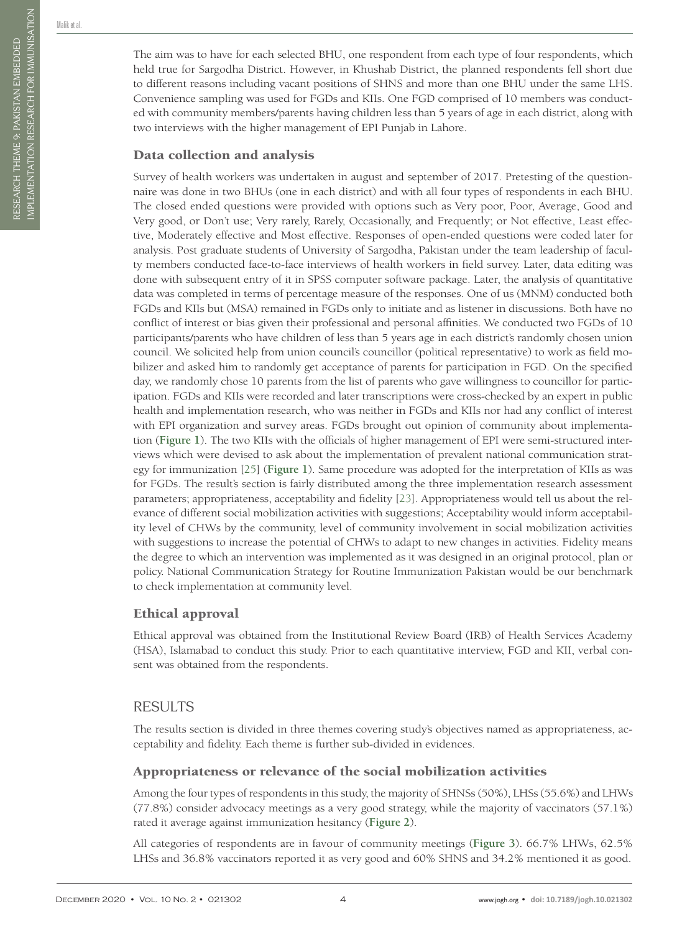Malik et al.

The aim was to have for each selected BHU, one respondent from each type of four respondents, which held true for Sargodha District. However, in Khushab District, the planned respondents fell short due to different reasons including vacant positions of SHNS and more than one BHU under the same LHS. Convenience sampling was used for FGDs and KIIs. One FGD comprised of 10 members was conducted with community members/parents having children less than 5 years of age in each district, along with two interviews with the higher management of EPI Punjab in Lahore.

#### Data collection and analysis

Survey of health workers was undertaken in august and september of 2017. Pretesting of the questionnaire was done in two BHUs (one in each district) and with all four types of respondents in each BHU. The closed ended questions were provided with options such as Very poor, Poor, Average, Good and Very good, or Don't use; Very rarely, Rarely, Occasionally, and Frequently; or Not effective, Least effective, Moderately effective and Most effective. Responses of open-ended questions were coded later for analysis. Post graduate students of University of Sargodha, Pakistan under the team leadership of faculty members conducted face-to-face interviews of health workers in field survey. Later, data editing was done with subsequent entry of it in SPSS computer software package. Later, the analysis of quantitative data was completed in terms of percentage measure of the responses. One of us (MNM) conducted both FGDs and KIIs but (MSA) remained in FGDs only to initiate and as listener in discussions. Both have no conflict of interest or bias given their professional and personal affinities. We conducted two FGDs of 10 participants/parents who have children of less than 5 years age in each district's randomly chosen union council. We solicited help from union council's councillor (political representative) to work as field mobilizer and asked him to randomly get acceptance of parents for participation in FGD. On the specified day, we randomly chose 10 parents from the list of parents who gave willingness to councillor for participation. FGDs and KIIs were recorded and later transcriptions were cross-checked by an expert in public health and implementation research, who was neither in FGDs and KIIs nor had any conflict of interest with EPI organization and survey areas. FGDs brought out opinion of community about implementation (**[Figure 1](#page-2-0)**). The two KIIs with the officials of higher management of EPI were semi-structured interviews which were devised to ask about the implementation of prevalent national communication strategy for immunization [\[25](#page-10-18)] (**[Figure 1](#page-2-0)**). Same procedure was adopted for the interpretation of KIIs as was for FGDs. The result's section is fairly distributed among the three implementation research assessment parameters; appropriateness, acceptability and fidelity [[23\]](#page-10-17). Appropriateness would tell us about the relevance of different social mobilization activities with suggestions; Acceptability would inform acceptability level of CHWs by the community, level of community involvement in social mobilization activities with suggestions to increase the potential of CHWs to adapt to new changes in activities. Fidelity means the degree to which an intervention was implemented as it was designed in an original protocol, plan or policy. National Communication Strategy for Routine Immunization Pakistan would be our benchmark to check implementation at community level.

# Ethical approval

Ethical approval was obtained from the Institutional Review Board (IRB) of Health Services Academy (HSA), Islamabad to conduct this study. Prior to each quantitative interview, FGD and KII, verbal consent was obtained from the respondents.

# RESULTS

The results section is divided in three themes covering study's objectives named as appropriateness, acceptability and fidelity. Each theme is further sub-divided in evidences.

# Appropriateness or relevance of the social mobilization activities

Among the four types of respondents in this study, the majority of SHNSs (50%), LHSs (55.6%) and LHWs (77.8%) consider advocacy meetings as a very good strategy, while the majority of vaccinators (57.1%) rated it average against immunization hesitancy (**[Figure 2](#page-4-0)**).

All categories of respondents are in favour of community meetings (**[Figure 3](#page-4-1)**). 66.7% LHWs, 62.5% LHSs and 36.8% vaccinators reported it as very good and 60% SHNS and 34.2% mentioned it as good.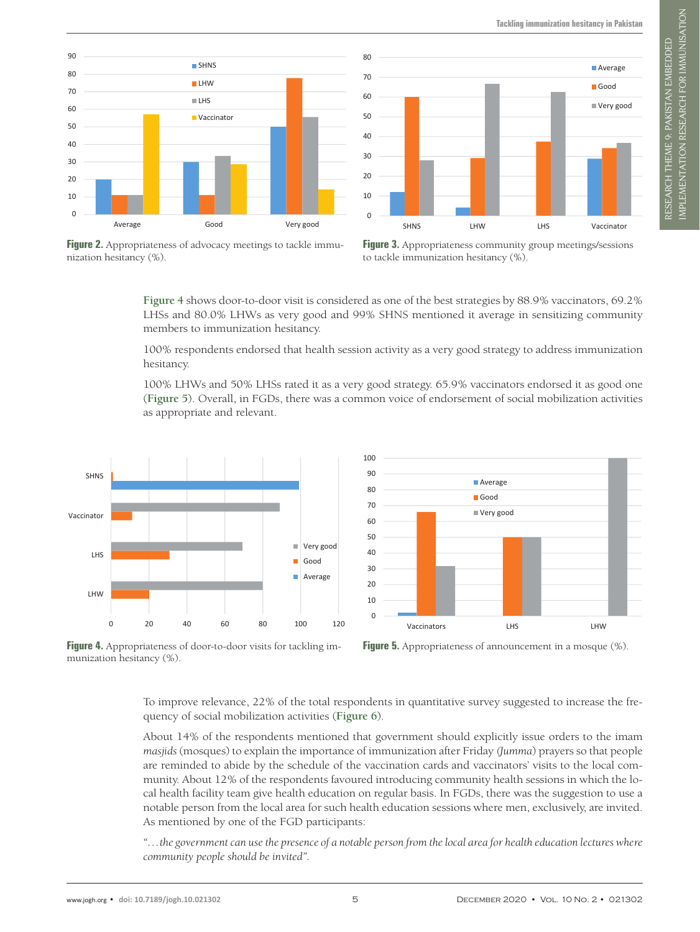**Tackling immunization hesitancy in Pakistan**

<span id="page-4-0"></span>



**Figure 2.** Appropriateness of advocacy meetings to tackle immunization hesitancy (%).

<span id="page-4-3"></span>

**[Figure 4](#page-4-2)** shows door-to-door visit is considered as one of the best strategies by 88.9% vaccinators, 69.2% LHSs and 80.0% LHWs as very good and 99% SHNS mentioned it average in sensitizing community members to immunization hesitancy. **Average Good Very good LHW** 20 80 **Vaccinators** 2,4 65,9 31,7

<span id="page-4-1"></span> $80$ 

100% respondents endorsed that health session activity as a very good strategy to address immunization hesitancy. **Vaccinator** 11,1 88,9 ondents endorsed that health session activity as a very good strategy to address immuni

100% LHWs and 50% LHSs rated it as a very good strategy. 65.9% vaccinators endorsed it as good one (**[Figure 5](#page-4-3)**). Overall, in FGDs, there was a common voice of endorsement of social mobilization activities as appropriate and relevant.

<span id="page-4-2"></span>

**Figure 4.** Appropriateness of door-to-door visits for tackling immunization hesitancy (%).



To improve relevance, 22% of the total respondents in quantitative survey suggested to increase the frequency of social mobilization activities (**[Figure 6](#page-5-0)**).

About 14% of the respondents mentioned that government should explicitly issue orders to the imam *masjids* (mosques) to explain the importance of immunization after Friday *(Jumma*) prayers so that people are reminded to abide by the schedule of the vaccination cards and vaccinators' visits to the local community. About 12% of the respondents favoured introducing community health sessions in which the local health facility team give health education on regular basis. In FGDs, there was the suggestion to use a notable person from the local area for such health education sessions where men, exclusively, are invited. As mentioned by one of the FGD participants:

*"…the government can use the presence of a notable person from the local area for health education lectures where community people should be invited".*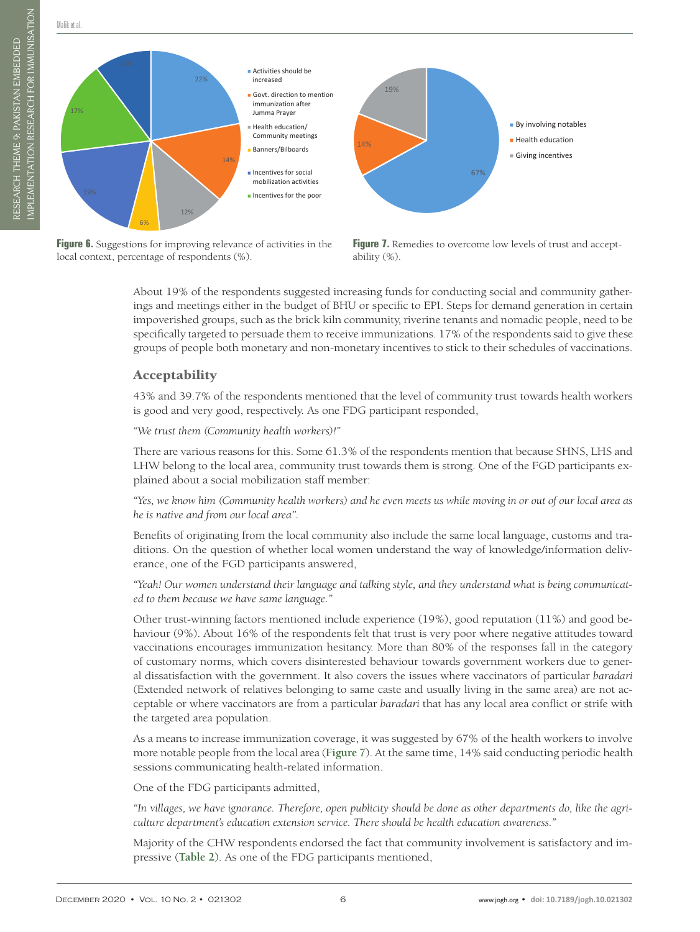

<span id="page-5-0"></span>Malik et al.

**Threat/Punishment** 10,20%



**Figure 6.** Suggestions for improving relevance of activities in the local context, percentage of respondents (%).

<span id="page-5-1"></span>

About 19% of the respondents suggested increasing funds for conducting social and community gatherings and meetings either in the budget of BHU or specific to EPI. Steps for demand generation in certain impoverished groups, such as the brick kiln community, riverine tenants and nomadic people, need to be specifically targeted to persuade them to receive immunizations. 17% of the respondents said to give these groups of people both monetary and non-monetary incentives to stick to their schedules of vaccinations.

#### Acceptability

43% and 39.7% of the respondents mentioned that the level of community trust towards health workers is good and very good, respectively. As one FDG participant responded,

*"We trust them (Community health workers)!"*

There are various reasons for this. Some 61.3% of the respondents mention that because SHNS, LHS and LHW belong to the local area, community trust towards them is strong. One of the FGD participants explained about a social mobilization staff member:

*"Yes, we know him (Community health workers) and he even meets us while moving in or out of our local area as he is native and from our local area".*

Benefits of originating from the local community also include the same local language, customs and traditions. On the question of whether local women understand the way of knowledge/information deliverance, one of the FGD participants answered,

*"Yeah! Our women understand their language and talking style, and they understand what is being communicated to them because we have same language."*

Other trust-winning factors mentioned include experience (19%), good reputation (11%) and good behaviour (9%). About 16% of the respondents felt that trust is very poor where negative attitudes toward vaccinations encourages immunization hesitancy. More than 80% of the responses fall in the category of customary norms, which covers disinterested behaviour towards government workers due to general dissatisfaction with the government. It also covers the issues where vaccinators of particular *baradari* (Extended network of relatives belonging to same caste and usually living in the same area) are not acceptable or where vaccinators are from a particular *baradari* that has any local area conflict or strife with the targeted area population.

As a means to increase immunization coverage, it was suggested by 67% of the health workers to involve more notable people from the local area (**[Figure 7](#page-5-1)**). At the same time, 14% said conducting periodic health sessions communicating health-related information.

One of the FDG participants admitted,

*"In villages, we have ignorance. Therefore, open publicity should be done as other departments do, like the agriculture department's education extension service. There should be health education awareness."*

Majority of the CHW respondents endorsed the fact that community involvement is satisfactory and impressive (**[Table 2](#page-6-0)**). As one of the FDG participants mentioned,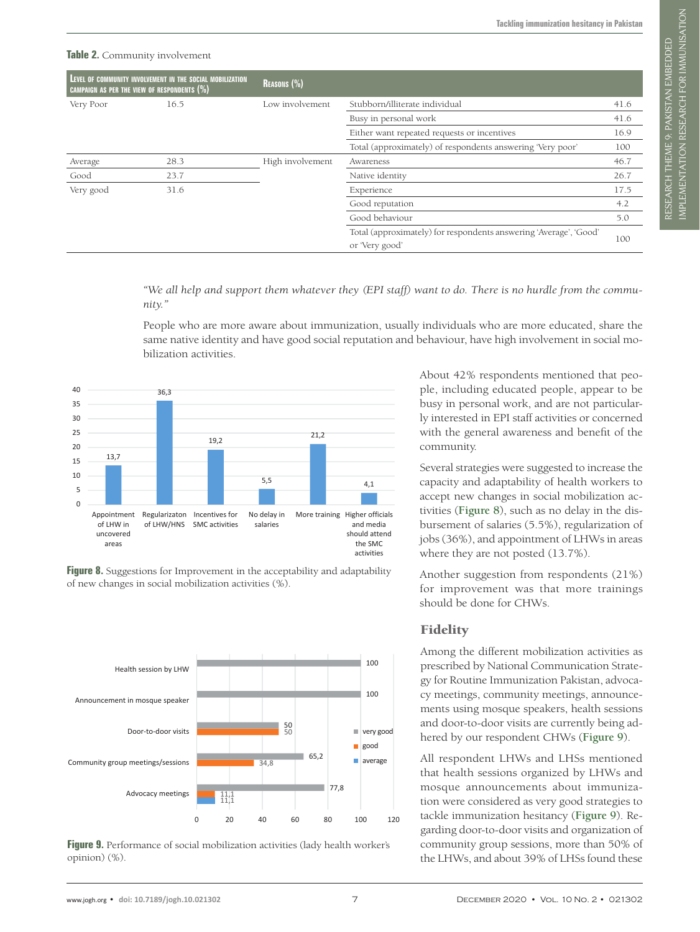#### <span id="page-6-0"></span>**Table 2.** Community involvement

| CAMPAIGN AS PER THE VIEW OF RESPONDENTS $(\%)$ | LEVEL OF COMMUNITY INVOLVEMENT IN THE SOCIAL MOBILIZATION | <b>REASONS (%)</b> |                                                                                     |      |  |  |  |
|------------------------------------------------|-----------------------------------------------------------|--------------------|-------------------------------------------------------------------------------------|------|--|--|--|
| Very Poor                                      | 16.5                                                      | Low involvement    | Stubborn/illiterate individual                                                      |      |  |  |  |
|                                                |                                                           |                    | Busy in personal work                                                               | 41.6 |  |  |  |
|                                                |                                                           |                    | Either want repeated requests or incentives                                         | 16.9 |  |  |  |
|                                                |                                                           |                    | Total (approximately) of respondents answering 'Very poor'                          | 100  |  |  |  |
| Average                                        | 28.3                                                      | High involvement   | Awareness                                                                           | 46.7 |  |  |  |
| Good                                           | 23.7                                                      |                    | Native identity                                                                     | 26.7 |  |  |  |
| Very good                                      | 31.6                                                      |                    | Experience                                                                          | 17.5 |  |  |  |
|                                                |                                                           |                    | Good reputation                                                                     | 4.2  |  |  |  |
|                                                |                                                           |                    | Good behaviour                                                                      | 5.0  |  |  |  |
|                                                |                                                           |                    | Total (approximately) for respondents answering 'Average', 'Good'<br>or 'Very good' | 100  |  |  |  |

<span id="page-6-1"></span>*"We all help and support them whatever they (EPI staff) want to do. There is no hurdle from the community."*

People who are more aware about immunization, usually individuals who are more educated, share the same native identity and have good social reputation and behaviour, have high involvement in social mobilization activities. **Higher officials and media should attend the SMC activities**



Figure 8. Suggestions for Improvement in the acceptability and adaptability of new changes in social mobilization activities (%).

<span id="page-6-2"></span>

**Figure 9.** Performance of social mobilization activities (lady health worker's opinion) (%).

About 42% respondents mentioned that people, including educated people, appear to be busy in personal work, and are not particularly interested in EPI staff activities or concerned with the general awareness and benefit of the community.

Several strategies were suggested to increase the capacity and adaptability of health workers to accept new changes in social mobilization activities (**[Figure 8](#page-6-1)**), such as no delay in the disbursement of salaries (5.5%), regularization of jobs (36%), and appointment of LHWs in areas where they are not posted (13.7%).

Another suggestion from respondents (21%) for improvement was that more trainings should be done for CHWs.

#### Fidelity

Among the different mobilization activities as prescribed by National Communication Strategy for Routine Immunization Pakistan, advocacy meetings, community meetings, announcements using mosque speakers, health sessions and door-to-door visits are currently being adhered by our respondent CHWs (**[Figure 9](#page-6-2)**).

All respondent LHWs and LHSs mentioned that health sessions organized by LHWs and mosque announcements about immunization were considered as very good strategies to tackle immunization hesitancy (**[Figure 9](#page-6-2)**). Regarding door-to-door visits and organization of community group sessions, more than 50% of the LHWs, and about 39% of LHSs found these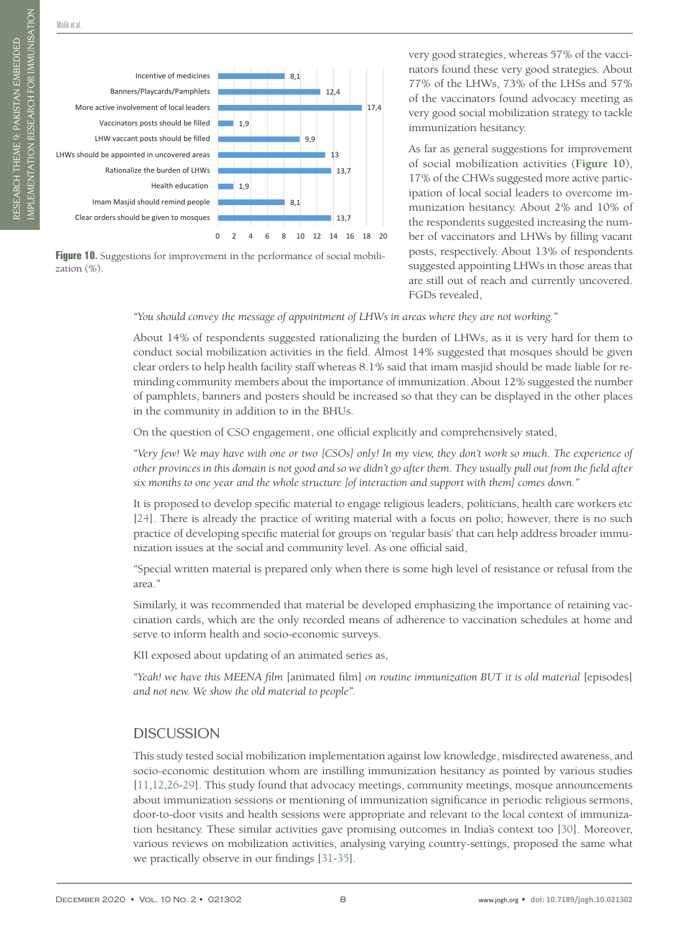**Banners/Playcards/Pamphlets** 12,4

<span id="page-7-0"></span>

Figure 10. Suggestions for improvement in the performance of social mobilization (%).

very good strategies, whereas 57% of the vaccinators found these very good strategies. About 77% of the LHWs, 73% of the LHSs and 57% of the vaccinators found advocacy meeting as very good social mobilization strategy to tackle immunization hesitancy.

As far as general suggestions for improvement of social mobilization activities (**[Figure 10](#page-7-0)**), 17% of the CHWs suggested more active participation of local social leaders to overcome immunization hesitancy. About 2% and 10% of the respondents suggested increasing the number of vaccinators and LHWs by filling vacant posts, respectively. About 13% of respondents suggested appointing LHWs in those areas that are still out of reach and currently uncovered. FGDs revealed,

*"You should convey the message of appointment of LHWs in areas where they are not working."*

About 14% of respondents suggested rationalizing the burden of LHWs, as it is very hard for them to conduct social mobilization activities in the field. Almost 14% suggested that mosques should be given clear orders to help health facility staff whereas 8.1% said that imam masjid should be made liable for reminding community members about the importance of immunization. About 12% suggested the number of pamphlets, banners and posters should be increased so that they can be displayed in the other places in the community in addition to in the BHUs.

On the question of CSO engagement, one official explicitly and comprehensively stated,

*"Very few! We may have with one or two [CSOs] only! In my view, they don't work so much. The experience of other provinces in this domain is not good and so we didn't go after them. They usually pull out from the field after six months to one year and the whole structure [of interaction and support with them] comes down."*

It is proposed to develop specific material to engage religious leaders, politicians, health care workers etc [[24\]](#page-10-19). There is already the practice of writing material with a focus on polio; however, there is no such practice of developing specific material for groups on 'regular basis' that can help address broader immunization issues at the social and community level. As one official said,

*"*Special written material is prepared only when there is some high level of resistance or refusal from the area.*"*

Similarly, it was recommended that material be developed emphasizing the importance of retaining vaccination cards, which are the only recorded means of adherence to vaccination schedules at home and serve to inform health and socio-economic surveys.

KII exposed about updating of an animated series as,

*"Yeah! we have this MEENA film* [animated film] *on routine immunization BUT it is old material* [episodes] *and not new. We show the old material to people".*

# **DISCUSSION**

This study tested social mobilization implementation against low knowledge, misdirected awareness, and socio-economic destitution whom are instilling immunization hesitancy as pointed by various studies [[11](#page-10-8)[,12,](#page-10-9)[26](#page-10-20)-[29\]](#page-11-0). This study found that advocacy meetings, community meetings, mosque announcements about immunization sessions or mentioning of immunization significance in periodic religious sermons, door-to-door visits and health sessions were appropriate and relevant to the local context of immunization hesitancy. These similar activities gave promising outcomes in India's context too [\[30\]](#page-11-1). Moreover, various reviews on mobilization activities, analysing varying country-settings, proposed the same what we practically observe in our findings [\[31-](#page-11-2)[35](#page-11-3)].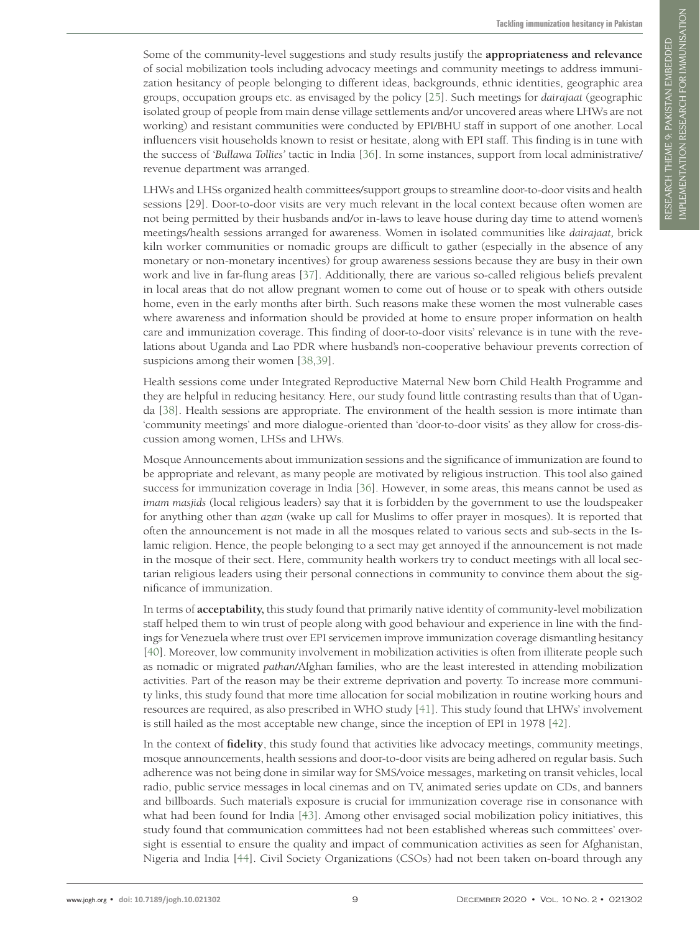Some of the community-level suggestions and study results justify the **appropriateness and relevance** of social mobilization tools including advocacy meetings and community meetings to address immunization hesitancy of people belonging to different ideas, backgrounds, ethnic identities, geographic area groups, occupation groups etc. as envisaged by the policy [\[25](#page-10-18)]. Such meetings for *dairajaat* (geographic isolated group of people from main dense village settlements and/or uncovered areas where LHWs are not working) and resistant communities were conducted by EPI/BHU staff in support of one another. Local influencers visit households known to resist or hesitate, along with EPI staff. This finding is in tune with the success of '*Bullawa Tollies'* tactic in India [[36\]](#page-11-4). In some instances, support from local administrative/ revenue department was arranged.

LHWs and LHSs organized health committees/support groups to streamline door-to-door visits and health sessions [29]. Door-to-door visits are very much relevant in the local context because often women are not being permitted by their husbands and/or in-laws to leave house during day time to attend women's meetings/health sessions arranged for awareness. Women in isolated communities like *dairajaat,* brick kiln worker communities or nomadic groups are difficult to gather (especially in the absence of any monetary or non-monetary incentives) for group awareness sessions because they are busy in their own work and live in far-flung areas [[37\]](#page-11-5). Additionally, there are various so-called religious beliefs prevalent in local areas that do not allow pregnant women to come out of house or to speak with others outside home, even in the early months after birth. Such reasons make these women the most vulnerable cases where awareness and information should be provided at home to ensure proper information on health care and immunization coverage. This finding of door-to-door visits' relevance is in tune with the revelations about Uganda and Lao PDR where husband's non-cooperative behaviour prevents correction of suspicions among their women [\[38](#page-11-6),[39](#page-11-7)].

Health sessions come under Integrated Reproductive Maternal New born Child Health Programme and they are helpful in reducing hesitancy. Here, our study found little contrasting results than that of Uganda [\[38\]](#page-11-6). Health sessions are appropriate. The environment of the health session is more intimate than 'community meetings' and more dialogue-oriented than 'door-to-door visits' as they allow for cross-discussion among women, LHSs and LHWs.

Mosque Announcements about immunization sessions and the significance of immunization are found to be appropriate and relevant, as many people are motivated by religious instruction. This tool also gained success for immunization coverage in India [\[36](#page-11-4)]. However, in some areas, this means cannot be used as *imam masjids* (local religious leaders) say that it is forbidden by the government to use the loudspeaker for anything other than *azan* (wake up call for Muslims to offer prayer in mosques). It is reported that often the announcement is not made in all the mosques related to various sects and sub-sects in the Islamic religion. Hence, the people belonging to a sect may get annoyed if the announcement is not made in the mosque of their sect. Here, community health workers try to conduct meetings with all local sectarian religious leaders using their personal connections in community to convince them about the significance of immunization.

In terms of **acceptability,** this study found that primarily native identity of community-level mobilization staff helped them to win trust of people along with good behaviour and experience in line with the findings for Venezuela where trust over EPI servicemen improve immunization coverage dismantling hesitancy [\[40](#page-11-8)]. Moreover, low community involvement in mobilization activities is often from illiterate people such as nomadic or migrated *pathan*/Afghan families, who are the least interested in attending mobilization activities. Part of the reason may be their extreme deprivation and poverty. To increase more community links, this study found that more time allocation for social mobilization in routine working hours and resources are required, as also prescribed in WHO study [[41\]](#page-11-9). This study found that LHWs' involvement is still hailed as the most acceptable new change, since the inception of EPI in 1978 [[42](#page-11-10)].

In the context of **fidelity**, this study found that activities like advocacy meetings, community meetings, mosque announcements, health sessions and door-to-door visits are being adhered on regular basis. Such adherence was not being done in similar way for SMS/voice messages, marketing on transit vehicles, local radio, public service messages in local cinemas and on TV, animated series update on CDs, and banners and billboards. Such material's exposure is crucial for immunization coverage rise in consonance with what had been found for India [\[43](#page-11-11)]. Among other envisaged social mobilization policy initiatives, this study found that communication committees had not been established whereas such committees' oversight is essential to ensure the quality and impact of communication activities as seen for Afghanistan, Nigeria and India [[44\]](#page-11-12). Civil Society Organizations (CSOs) had not been taken on-board through any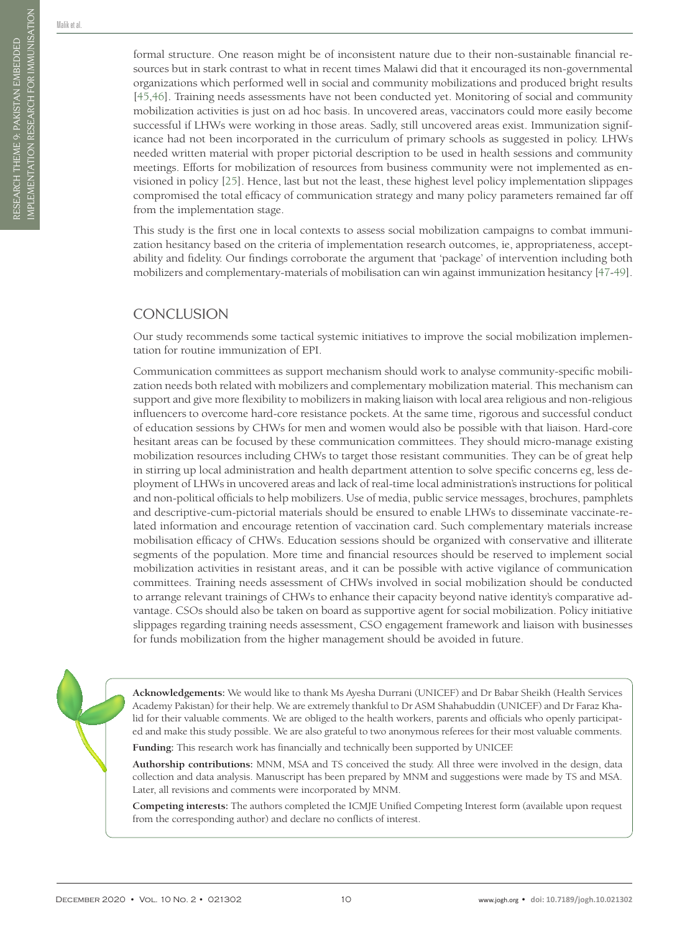formal structure. One reason might be of inconsistent nature due to their non-sustainable financial resources but in stark contrast to what in recent times Malawi did that it encouraged its non-governmental organizations which performed well in social and community mobilizations and produced bright results [[45](#page-11-13)[,46\]](#page-11-14). Training needs assessments have not been conducted yet. Monitoring of social and community mobilization activities is just on ad hoc basis. In uncovered areas, vaccinators could more easily become successful if LHWs were working in those areas. Sadly, still uncovered areas exist. Immunization significance had not been incorporated in the curriculum of primary schools as suggested in policy. LHWs needed written material with proper pictorial description to be used in health sessions and community meetings. Efforts for mobilization of resources from business community were not implemented as envisioned in policy [[25\]](#page-10-18). Hence, last but not the least, these highest level policy implementation slippages compromised the total efficacy of communication strategy and many policy parameters remained far off from the implementation stage.

This study is the first one in local contexts to assess social mobilization campaigns to combat immunization hesitancy based on the criteria of implementation research outcomes, ie, appropriateness, acceptability and fidelity. Our findings corroborate the argument that 'package' of intervention including both mobilizers and complementary-materials of mobilisation can win against immunization hesitancy [\[47](#page-11-15)[-49\]](#page-11-16).

# **CONCLUSION**

Our study recommends some tactical systemic initiatives to improve the social mobilization implementation for routine immunization of EPI.

Communication committees as support mechanism should work to analyse community-specific mobilization needs both related with mobilizers and complementary mobilization material. This mechanism can support and give more flexibility to mobilizers in making liaison with local area religious and non-religious influencers to overcome hard-core resistance pockets. At the same time, rigorous and successful conduct of education sessions by CHWs for men and women would also be possible with that liaison. Hard-core hesitant areas can be focused by these communication committees. They should micro-manage existing mobilization resources including CHWs to target those resistant communities. They can be of great help in stirring up local administration and health department attention to solve specific concerns eg, less deployment of LHWs in uncovered areas and lack of real-time local administration's instructions for political and non-political officials to help mobilizers. Use of media, public service messages, brochures, pamphlets and descriptive-cum-pictorial materials should be ensured to enable LHWs to disseminate vaccinate-related information and encourage retention of vaccination card. Such complementary materials increase mobilisation efficacy of CHWs. Education sessions should be organized with conservative and illiterate segments of the population. More time and financial resources should be reserved to implement social mobilization activities in resistant areas, and it can be possible with active vigilance of communication committees. Training needs assessment of CHWs involved in social mobilization should be conducted to arrange relevant trainings of CHWs to enhance their capacity beyond native identity's comparative advantage. CSOs should also be taken on board as supportive agent for social mobilization. Policy initiative slippages regarding training needs assessment, CSO engagement framework and liaison with businesses for funds mobilization from the higher management should be avoided in future.

**Acknowledgements:** We would like to thank Ms Ayesha Durrani (UNICEF) and Dr Babar Sheikh (Health Services Academy Pakistan) for their help. We are extremely thankful to Dr ASM Shahabuddin (UNICEF) and Dr Faraz Khalid for their valuable comments. We are obliged to the health workers, parents and officials who openly participated and make this study possible. We are also grateful to two anonymous referees for their most valuable comments.

**Funding:** This research work has financially and technically been supported by UNICEF.

**Authorship contributions:** MNM, MSA and TS conceived the study. All three were involved in the design, data collection and data analysis. Manuscript has been prepared by MNM and suggestions were made by TS and MSA. Later, all revisions and comments were incorporated by MNM.

**Competing interests:** The authors completed the ICMJE Unified Competing Interest form (available upon request from the corresponding author) and declare no conflicts of interest.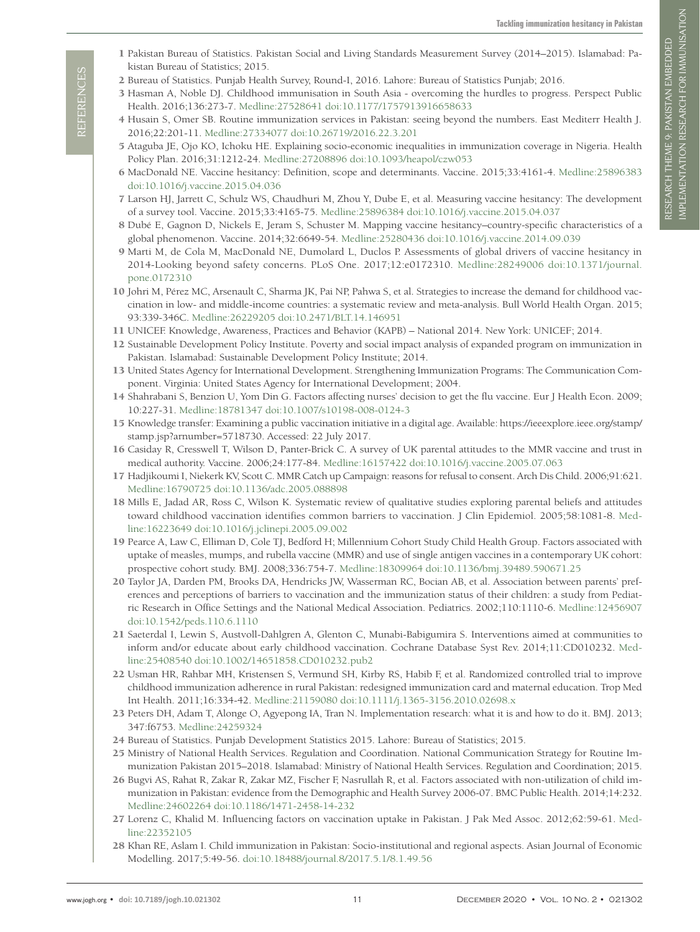- <span id="page-10-0"></span>1 Pakistan Bureau of Statistics. Pakistan Social and Living Standards Measurement Survey (2014–2015). Islamabad: Pakistan Bureau of Statistics; 2015.
- <span id="page-10-1"></span>2 Bureau of Statistics. Punjab Health Survey, Round-I, 2016. Lahore: Bureau of Statistics Punjab; 2016.
- <span id="page-10-2"></span>3 Hasman A, Noble DJ. Childhood immunisation in South Asia - overcoming the hurdles to progress. Perspect Public Health. 2016;136:273-7. [Medline:27528641](https://www.ncbi.nlm.nih.gov/entrez/query.fcgi?cmd=Retrieve&db=PubMed&list_uids=27528641&dopt=Abstract) [doi:10.1177/1757913916658633](https://doi.org/10.1177/1757913916658633)
- <span id="page-10-3"></span>4 Husain S, Omer SB. Routine immunization services in Pakistan: seeing beyond the numbers. East Mediterr Health J. 2016;22:201-11. [Medline:27334077](https://www.ncbi.nlm.nih.gov/entrez/query.fcgi?cmd=Retrieve&db=PubMed&list_uids=27334077&dopt=Abstract) [doi:10.26719/2016.22.3.201](https://doi.org/10.26719/2016.22.3.201)
- <span id="page-10-4"></span>5 Ataguba JE, Ojo KO, Ichoku HE. Explaining socio-economic inequalities in immunization coverage in Nigeria. Health Policy Plan. 2016;31:1212-24. [Medline:27208896](https://www.ncbi.nlm.nih.gov/entrez/query.fcgi?cmd=Retrieve&db=PubMed&list_uids=27208896&dopt=Abstract) [doi:10.1093/heapol/czw053](https://doi.org/10.1093/heapol/czw053)
- <span id="page-10-5"></span>6 MacDonald NE. Vaccine hesitancy: Definition, scope and determinants. Vaccine. 2015;33:4161-4. [Medline:25896383](https://www.ncbi.nlm.nih.gov/entrez/query.fcgi?cmd=Retrieve&db=PubMed&list_uids=25896383&dopt=Abstract) [doi:10.1016/j.vaccine.2015.04.036](https://doi.org/10.1016/j.vaccine.2015.04.036)
- 7 Larson HJ, Jarrett C, Schulz WS, Chaudhuri M, Zhou Y, Dube E, et al. Measuring vaccine hesitancy: The development of a survey tool. Vaccine. 2015;33:4165-75. [Medline:25896384](https://www.ncbi.nlm.nih.gov/entrez/query.fcgi?cmd=Retrieve&db=PubMed&list_uids=25896384&dopt=Abstract) [doi:10.1016/j.vaccine.2015.04.037](https://doi.org/10.1016/j.vaccine.2015.04.037)
- 8 Dubé E, Gagnon D, Nickels E, Jeram S, Schuster M. Mapping vaccine hesitancy–country-specific characteristics of a global phenomenon. Vaccine. 2014;32:6649-54. [Medline:25280436](https://www.ncbi.nlm.nih.gov/entrez/query.fcgi?cmd=Retrieve&db=PubMed&list_uids=25280436&dopt=Abstract) [doi:10.1016/j.vaccine.2014.09.039](https://doi.org/10.1016/j.vaccine.2014.09.039)
- <span id="page-10-6"></span>9 Marti M, de Cola M, MacDonald NE, Dumolard L, Duclos P. Assessments of global drivers of vaccine hesitancy in 2014-Looking beyond safety concerns. PLoS One. 2017;12:e0172310. [Medline:28249006](https://www.ncbi.nlm.nih.gov/entrez/query.fcgi?cmd=Retrieve&db=PubMed&list_uids=28249006&dopt=Abstract) [doi:10.1371/journal.](https://doi.org/10.1371/journal.pone.0172310) [pone.0172310](https://doi.org/10.1371/journal.pone.0172310)
- <span id="page-10-7"></span>10 Johri M, Pérez MC, Arsenault C, Sharma JK, Pai NP, Pahwa S, et al. Strategies to increase the demand for childhood vaccination in low- and middle-income countries: a systematic review and meta-analysis. Bull World Health Organ. 2015; 93:339-346C. [Medline:26229205](https://www.ncbi.nlm.nih.gov/entrez/query.fcgi?cmd=Retrieve&db=PubMed&list_uids=26229205&dopt=Abstract) [doi:10.2471/BLT.14.146951](https://doi.org/10.2471/BLT.14.146951)
- <span id="page-10-8"></span>11 UNICEF. Knowledge, Awareness, Practices and Behavior (KAPB) – National 2014. New York: UNICEF; 2014.
- <span id="page-10-9"></span>12 Sustainable Development Policy Institute. Poverty and social impact analysis of expanded program on immunization in Pakistan. Islamabad: Sustainable Development Policy Institute; 2014.
- <span id="page-10-10"></span>13 United States Agency for International Development. Strengthening Immunization Programs: The Communication Component. Virginia: United States Agency for International Development; 2004.
- <span id="page-10-11"></span>14 Shahrabani S, Benzion U, Yom Din G. Factors affecting nurses' decision to get the flu vaccine. Eur J Health Econ. 2009; 10:227-31. [Medline:18781347](https://www.ncbi.nlm.nih.gov/entrez/query.fcgi?cmd=Retrieve&db=PubMed&list_uids=18781347&dopt=Abstract) [doi:10.1007/s10198-008-0124-3](https://doi.org/10.1007/s10198-008-0124-3)
- <span id="page-10-12"></span>15 Knowledge transfer: Examining a public vaccination initiative in a digital age. Available: [https://ieeexplore.ieee.org/stamp/](https://ieeexplore.ieee.org/stamp/stamp.jsp?arnumber=5718730) [stamp.jsp?arnumber=5718730.](https://ieeexplore.ieee.org/stamp/stamp.jsp?arnumber=5718730) Accessed: 22 July 2017.
- <span id="page-10-13"></span>16 Casiday R, Cresswell T, Wilson D, Panter-Brick C. A survey of UK parental attitudes to the MMR vaccine and trust in medical authority. Vaccine. 2006;24:177-84. [Medline:16157422](https://www.ncbi.nlm.nih.gov/entrez/query.fcgi?cmd=Retrieve&db=PubMed&list_uids=16157422&dopt=Abstract) [doi:10.1016/j.vaccine.2005.07.063](https://doi.org/10.1016/j.vaccine.2005.07.063)
- 17 Hadjikoumi I, Niekerk KV, Scott C. MMR Catch up Campaign: reasons for refusal to consent. Arch Dis Child. 2006;91:621. [Medline:16790725](https://www.ncbi.nlm.nih.gov/entrez/query.fcgi?cmd=Retrieve&db=PubMed&list_uids=16790725&dopt=Abstract) [doi:10.1136/adc.2005.088898](https://doi.org/10.1136/adc.2005.088898)
- 18 Mills E, Jadad AR, Ross C, Wilson K. Systematic review of qualitative studies exploring parental beliefs and attitudes toward childhood vaccination identifies common barriers to vaccination. J Clin Epidemiol. 2005;58:1081-8. [Med](https://www.ncbi.nlm.nih.gov/entrez/query.fcgi?cmd=Retrieve&db=PubMed&list_uids=16223649&dopt=Abstract)[line:16223649](https://www.ncbi.nlm.nih.gov/entrez/query.fcgi?cmd=Retrieve&db=PubMed&list_uids=16223649&dopt=Abstract) [doi:10.1016/j.jclinepi.2005.09.002](https://doi.org/10.1016/j.jclinepi.2005.09.002)
- 19 Pearce A, Law C, Elliman D, Cole TJ, Bedford H; Millennium Cohort Study Child Health Group. Factors associated with uptake of measles, mumps, and rubella vaccine (MMR) and use of single antigen vaccines in a contemporary UK cohort: prospective cohort study. BMJ. 2008;336:754-7. [Medline:18309964](https://www.ncbi.nlm.nih.gov/entrez/query.fcgi?cmd=Retrieve&db=PubMed&list_uids=18309964&dopt=Abstract) [doi:10.1136/bmj.39489.590671.25](https://doi.org/10.1136/bmj.39489.590671.25)
- <span id="page-10-14"></span>20 Taylor JA, Darden PM, Brooks DA, Hendricks JW, Wasserman RC, Bocian AB, et al. Association between parents' preferences and perceptions of barriers to vaccination and the immunization status of their children: a study from Pediatric Research in Office Settings and the National Medical Association. Pediatrics. 2002;110:1110-6. [Medline:12456907](https://www.ncbi.nlm.nih.gov/entrez/query.fcgi?cmd=Retrieve&db=PubMed&list_uids=12456907&dopt=Abstract) [doi:10.1542/peds.110.6.1110](https://doi.org/10.1542/peds.110.6.1110)
- <span id="page-10-15"></span>21 Saeterdal I, Lewin S, Austvoll-Dahlgren A, Glenton C, Munabi-Babigumira S. Interventions aimed at communities to inform and/or educate about early childhood vaccination. Cochrane Database Syst Rev. 2014;11:CD010232. [Med](https://www.ncbi.nlm.nih.gov/entrez/query.fcgi?cmd=Retrieve&db=PubMed&list_uids=25408540&dopt=Abstract)[line:25408540](https://www.ncbi.nlm.nih.gov/entrez/query.fcgi?cmd=Retrieve&db=PubMed&list_uids=25408540&dopt=Abstract) [doi:10.1002/14651858.CD010232.pub2](https://doi.org/10.1002/14651858.CD010232.pub2)
- <span id="page-10-16"></span>22 Usman HR, Rahbar MH, Kristensen S, Vermund SH, Kirby RS, Habib F, et al. Randomized controlled trial to improve childhood immunization adherence in rural Pakistan: redesigned immunization card and maternal education. Trop Med Int Health. 2011;16:334-42. [Medline:21159080](https://www.ncbi.nlm.nih.gov/entrez/query.fcgi?cmd=Retrieve&db=PubMed&list_uids=21159080&dopt=Abstract) [doi:10.1111/j.1365-3156.2010.02698.x](https://doi.org/10.1111/j.1365-3156.2010.02698.x)
- <span id="page-10-17"></span>23 Peters DH, Adam T, Alonge O, Agyepong IA, Tran N. Implementation research: what it is and how to do it. BMJ. 2013; 347:f6753. [Medline:24259324](https://www.ncbi.nlm.nih.gov/entrez/query.fcgi?cmd=Retrieve&db=PubMed&list_uids=24259324&dopt=Abstract)
- <span id="page-10-19"></span>24 Bureau of Statistics. Punjab Development Statistics 2015. Lahore: Bureau of Statistics; 2015.
- <span id="page-10-18"></span>25 Ministry of National Health Services. Regulation and Coordination. National Communication Strategy for Routine Immunization Pakistan 2015–2018. Islamabad: Ministry of National Health Services. Regulation and Coordination; 2015.
- <span id="page-10-20"></span>26 Bugvi AS, Rahat R, Zakar R, Zakar MZ, Fischer F, Nasrullah R, et al. Factors associated with non-utilization of child immunization in Pakistan: evidence from the Demographic and Health Survey 2006-07. BMC Public Health. 2014;14:232. [Medline:24602264](https://www.ncbi.nlm.nih.gov/entrez/query.fcgi?cmd=Retrieve&db=PubMed&list_uids=24602264&dopt=Abstract) [doi:10.1186/1471-2458-14-232](https://doi.org/10.1186/1471-2458-14-232)
- 27 Lorenz C, Khalid M. Influencing factors on vaccination uptake in Pakistan. J Pak Med Assoc. 2012;62:59-61. [Med](https://www.ncbi.nlm.nih.gov/entrez/query.fcgi?cmd=Retrieve&db=PubMed&list_uids=22352105&dopt=Abstract)[line:22352105](https://www.ncbi.nlm.nih.gov/entrez/query.fcgi?cmd=Retrieve&db=PubMed&list_uids=22352105&dopt=Abstract)
- 28 Khan RE, Aslam I. Child immunization in Pakistan: Socio-institutional and regional aspects. Asian Journal of Economic Modelling. 2017;5:49-56. [doi:10.18488/journal.8/2017.5.1/8.1.49.56](https://doi.org/10.18488/journal.8/2017.5.1/8.1.49.56)